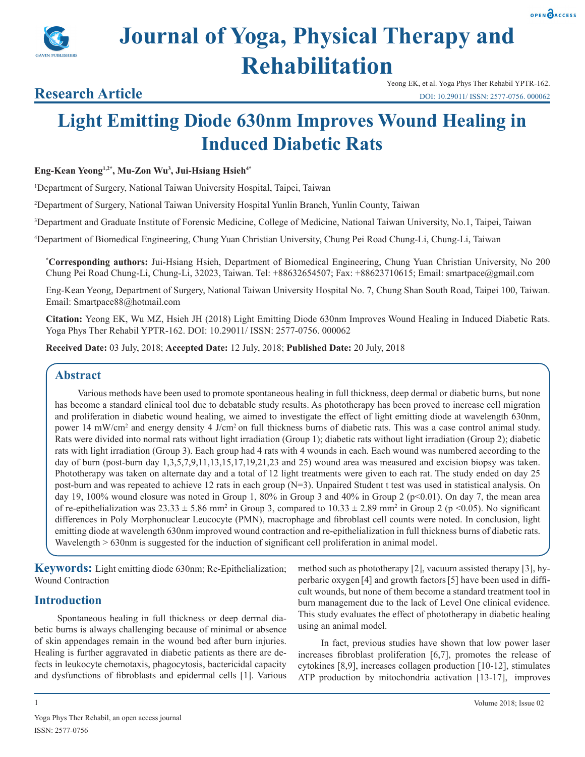

# **Journal of Yoga, Physical Therapy and Rehabilitation**

### **Research Article**

## **Light Emitting Diode 630nm Improves Wound Healing in Induced Diabetic Rats**

#### **Eng-Kean Yeong1,2\*, Mu-Zon Wu3 , Jui-Hsiang Hsieh4\***

1 Department of Surgery, National Taiwan University Hospital, Taipei, Taiwan

2 Department of Surgery, National Taiwan University Hospital Yunlin Branch, Yunlin County, Taiwan

3 Department and Graduate Institute of Forensic Medicine, College of Medicine, National Taiwan University, No.1, Taipei, Taiwan

4 Department of Biomedical Engineering, Chung Yuan Christian University, Chung Pei Road Chung-Li, Chung-Li, Taiwan

**\* Corresponding authors:** Jui-Hsiang Hsieh, Department of Biomedical Engineering, Chung Yuan Christian University, No 200 Chung Pei Road Chung-Li, Chung-Li, 32023, Taiwan. Tel: +88632654507; Fax: +88623710615; Email: smartpace@gmail.com

Eng-Kean Yeong, Department of Surgery, National Taiwan University Hospital No. 7, Chung Shan South Road, Taipei 100, Taiwan. Email: Smartpace88@hotmail.com

**Citation:** Yeong EK, Wu MZ, Hsieh JH (2018) Light Emitting Diode 630nm Improves Wound Healing in Induced Diabetic Rats. Yoga Phys Ther Rehabil YPTR-162. DOI: 10.29011/ ISSN: 2577-0756. 000062

**Received Date:** 03 July, 2018; **Accepted Date:** 12 July, 2018; **Published Date:** 20 July, 2018

#### **Abstract**

Various methods have been used to promote spontaneous healing in full thickness, deep dermal or diabetic burns, but none has become a standard clinical tool due to debatable study results. As phototherapy has been proved to increase cell migration and proliferation in diabetic wound healing, we aimed to investigate the effect of light emitting diode at wavelength 630nm, power 14 mW/cm<sup>2</sup> and energy density 4 J/cm<sup>2</sup> on full thickness burns of diabetic rats. This was a case control animal study. Rats were divided into normal rats without light irradiation (Group 1); diabetic rats without light irradiation (Group 2); diabetic rats with light irradiation (Group 3). Each group had 4 rats with 4 wounds in each. Each wound was numbered according to the day of burn (post-burn day 1,3,5,7,9,11,13,15,17,19,21,23 and 25) wound area was measured and excision biopsy was taken. Phototherapy was taken on alternate day and a total of 12 light treatments were given to each rat. The study ended on day 25 post-burn and was repeated to achieve 12 rats in each group (N=3). Unpaired Student t test was used in statistical analysis. On day 19, 100% wound closure was noted in Group 1, 80% in Group 3 and 40% in Group 2 ( $p<0.01$ ). On day 7, the mean area of re-epithelialization was  $23.33 \pm 5.86$  mm<sup>2</sup> in Group 3, compared to  $10.33 \pm 2.89$  mm<sup>2</sup> in Group 2 (p <0.05). No significant differences in Poly Morphonuclear Leucocyte (PMN), macrophage and fibroblast cell counts were noted. In conclusion, light emitting diode at wavelength 630nm improved wound contraction and re-epithelialization in full thickness burns of diabetic rats. Wavelength > 630nm is suggested for the induction of significant cell proliferation in animal model.

**Keywords:** Light emitting diode 630nm; Re-Epithelialization; Wound Contraction

#### **Introduction**

Spontaneous healing in full thickness or deep dermal diabetic burns is always challenging because of minimal or absence of skin appendages remain in the wound bed after burn injuries. Healing is further aggravated in diabetic patients as there are defects in leukocyte chemotaxis, phagocytosis, bactericidal capacity and dysfunctions of fibroblasts and epidermal cells [1]. Various method such as phototherapy [2], vacuum assisted therapy [3], hyperbaric oxygen [4] and growth factors[5] have been used in difficult wounds, but none of them become a standard treatment tool in burn management due to the lack of Level One clinical evidence. This study evaluates the effect of phototherapy in diabetic healing using an animal model.

In fact, previous studies have shown that low power laser increases fibroblast proliferation [6,7], promotes the release of cytokines [8,9], increases collagen production [10-12], stimulates ATP production by mitochondria activation [13-17], improves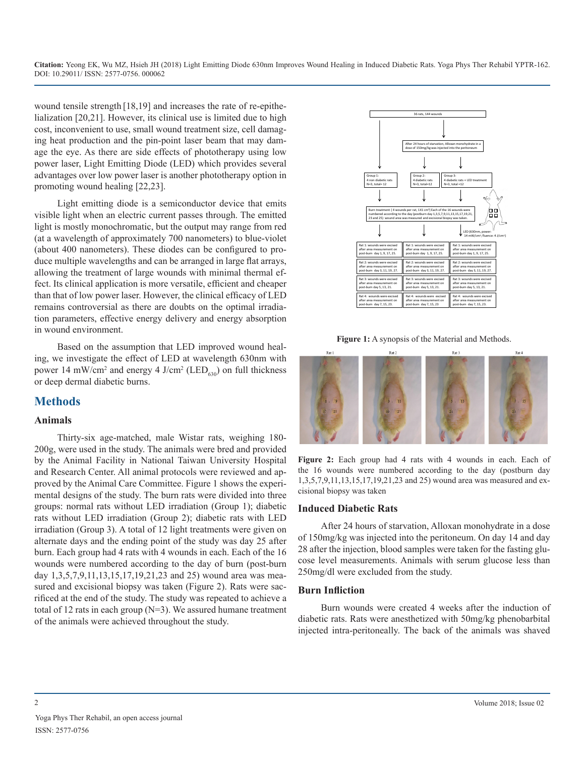wound tensile strength [18,19] and increases the rate of re-epithelialization [20,21]. However, its clinical use is limited due to high cost, inconvenient to use, small wound treatment size, cell damaging heat production and the pin-point laser beam that may damage the eye. As there are side effects of phototherapy using low power laser, Light Emitting Diode (LED) which provides several advantages over low power laser is another phototherapy option in promoting wound healing [22,23].

Light emitting diode is a [semiconductor](http://searchcio-midmarket.techtarget.com/sdefinition/0,,sid183_gci212960,00.html) device that emits visible light when an electric [current](http://searchcio-midmarket.techtarget.com/sdefinition/0,,sid183_gci211871,00.html) passes through. The emitted light is mostly monochromatic, but the output may range from red (at a wavelength of approximately 700 nanometers) to blue-violet (about 400 nanometers). These diodes can be configured to produce multiple wavelengths and can be arranged in large flat arrays, allowing the treatment of large wounds with minimal thermal effect. Its clinical application is more versatile, efficient and cheaper than that of low power laser. However, the clinical efficacy of LED remains controversial as there are doubts on the optimal irradiation parameters, effective energy delivery and energy absorption in wound environment.

Based on the assumption that LED improved wound healing, we investigate the effect of LED at wavelength 630nm with power 14 mW/cm<sup>2</sup> and energy 4  $J/cm^2$  (LED<sub>630</sub>) on full thickness or deep dermal diabetic burns.

#### **Methods**

#### **Animals**

Thirty-six age-matched, male Wistar rats, weighing 180- 200g, were used in the study. The animals were bred and provided by the Animal Facility in National Taiwan University Hospital and Research Center. All animal protocols were reviewed and approved by the Animal Care Committee. Figure 1 shows the experimental designs of the study. The burn rats were divided into three groups: normal rats without LED irradiation (Group 1); diabetic rats without LED irradiation (Group 2); diabetic rats with LED irradiation (Group 3). A total of 12 light treatments were given on alternate days and the ending point of the study was day 25 after burn. Each group had 4 rats with 4 wounds in each. Each of the 16 wounds were numbered according to the day of burn (post-burn day 1,3,5,7,9,11,13,15,17,19,21,23 and 25) wound area was measured and excisional biopsy was taken (Figure 2). Rats were sacrificed at the end of the study. The study was repeated to achieve a total of 12 rats in each group (N=3). We assured humane treatment of the animals were achieved throughout the study.



**Figure 1:** A synopsis of the Material and Methods.



**Figure 2:** Each group had 4 rats with 4 wounds in each. Each of the 16 wounds were numbered according to the day (postburn day 1,3,5,7,9,11,13,15,17,19,21,23 and 25) wound area was measured and excisional biopsy was taken

#### **Induced Diabetic Rats**

After 24 hours of starvation, Alloxan monohydrate in a dose of 150mg/kg was injected into the peritoneum. On day 14 and day 28 after the injection, blood samples were taken for the fasting glucose level measurements. Animals with serum glucose less than 250mg/dl were excluded from the study.

#### **Burn Infliction**

Burn wounds were created 4 weeks after the induction of diabetic rats. Rats were anesthetized with 50mg/kg phenobarbital injected intra-peritoneally. The back of the animals was shaved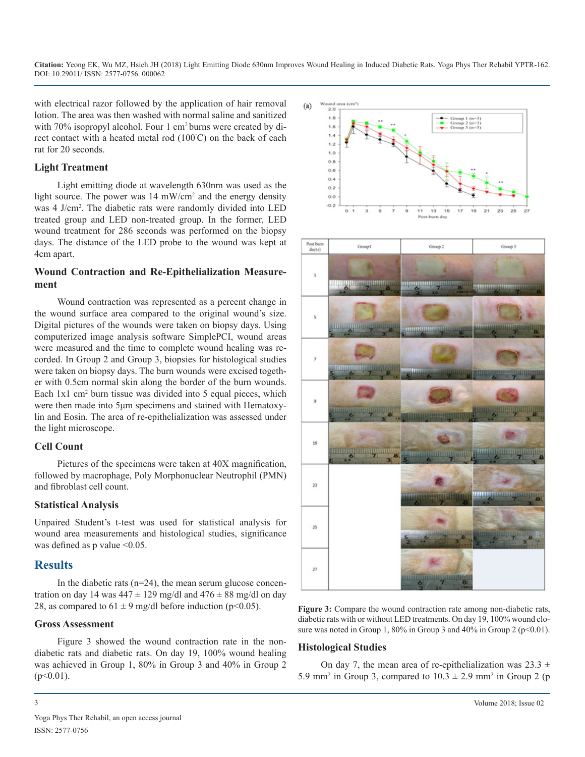with electrical razor followed by the application of hair removal lotion. The area was then washed with normal saline and sanitized with 70% isopropyl alcohol. Four 1 cm2 burns were created by direct contact with a heated metal rod (100˚ C) on the back of each rat for 20 seconds.

#### **Light Treatment**

Light emitting diode at wavelength 630nm was used as the light source. The power was 14 mW/cm<sup>2</sup> and the energy density was 4 J/cm2 . The diabetic rats were randomly divided into LED treated group and LED non-treated group. In the former, LED wound treatment for 286 seconds was performed on the biopsy days. The distance of the LED probe to the wound was kept at 4cm apart.

#### **Wound Contraction and Re-Epithelialization Measurement**

Wound contraction was represented as a percent change in the wound surface area compared to the original wound's size. Digital pictures of the wounds were taken on biopsy days. Using computerized image analysis software SimplePCI, wound areas were measured and the time to complete wound healing was recorded. In Group 2 and Group 3, biopsies for histological studies were taken on biopsy days. The burn wounds were excised together with 0.5cm normal skin along the border of the burn wounds. Each 1x1 cm<sup>2</sup> burn tissue was divided into 5 equal pieces, which were then made into 5μm specimens and stained with Hematoxylin and Eosin. The area of re-epithelialization was assessed under the light microscope.

#### **Cell Count**

Pictures of the specimens were taken at 40X magnification, followed by macrophage, Poly Morphonuclear Neutrophil (PMN) and fibroblast cell count.

#### **Statistical Analysis**

Unpaired Student's t-test was used for statistical analysis for wound area measurements and histological studies, significance was defined as p value  $\leq 0.05$ .

#### **Results**

In the diabetic rats  $(n=24)$ , the mean serum glucose concentration on day 14 was  $447 \pm 129$  mg/dl and  $476 \pm 88$  mg/dl on day 28, as compared to  $61 \pm 9$  mg/dl before induction (p<0.05).

#### **Gross Assessment**

Figure 3 showed the wound contraction rate in the nondiabetic rats and diabetic rats. On day 19, 100% wound healing was achieved in Group 1, 80% in Group 3 and 40% in Group 2  $(p<0.01)$ .



**Figure 3:** Compare the wound contraction rate among non-diabetic rats, diabetic rats with or without LED treatments. On day 19, 100% wound closure was noted in Group 1, 80% in Group 3 and 40% in Group 2 ( $p \le 0.01$ ).

#### **Histological Studies**

On day 7, the mean area of re-epithelialization was  $23.3 \pm$ 5.9 mm<sup>2</sup> in Group 3, compared to  $10.3 \pm 2.9$  mm<sup>2</sup> in Group 2 (p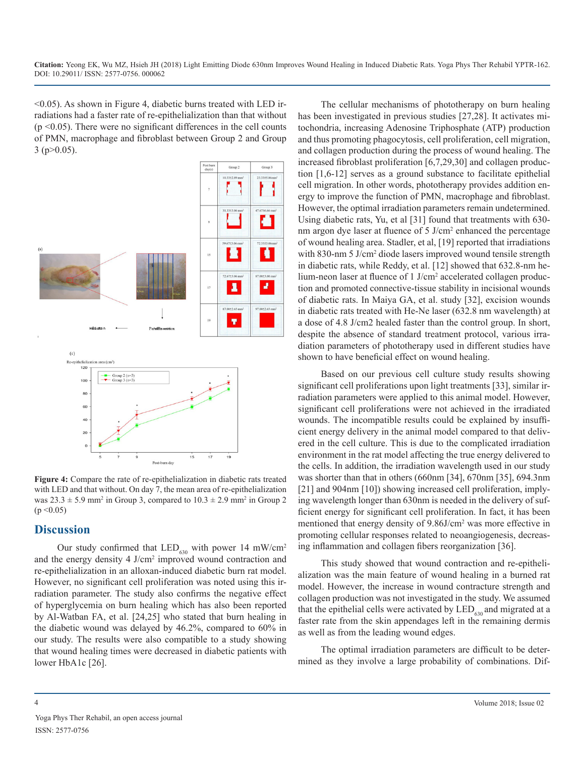$\leq$ 0.05). As shown in Figure 4, diabetic burns treated with LED irradiations had a faster rate of re-epithelialization than that without  $(p \le 0.05)$ . There were no significant differences in the cell counts of PMN, macrophage and fibroblast between Group 2 and Group  $3$  (p $>0.05$ ).



**Figure 4:** Compare the rate of re-epithelialization in diabetic rats treated with LED and that without. On day 7, the mean area of re-epithelialization was  $23.3 \pm 5.9$  mm<sup>2</sup> in Group 3, compared to  $10.3 \pm 2.9$  mm<sup>2</sup> in Group 2  $(p < 0.05)$ 

#### **Discussion**

Our study confirmed that  $LED_{630}$  with power 14 mW/cm<sup>2</sup> and the energy density 4 J/cm<sup>2</sup> improved wound contraction and re-epithelialization in an alloxan-induced diabetic burn rat model. However, no significant cell proliferation was noted using this irradiation parameter. The study also confirms the negative effect of hyperglycemia on burn healing which has also been reported by Al-Watban FA, et al. [24,25] who stated that burn healing in the diabetic wound was delayed by 46.2%, compared to 60% in our study. The results were also compatible to a study showing that wound healing times were decreased in diabetic patients with lower HbA1c [26].

The cellular mechanisms of phototherapy on burn healing has been investigated in previous studies [27,28]. It activates mitochondria, increasing Adenosine Triphosphate (ATP) production and thus promoting phagocytosis, cell proliferation, cell migration, and collagen production during the process of wound healing. The increased fibroblast proliferation [6,7,29,30] and collagen production [1,6-12] serves as a ground substance to facilitate epithelial cell migration. In other words, phototherapy provides addition energy to improve the function of PMN, macrophage and fibroblast. However, the optimal irradiation parameters remain undetermined. Using diabetic rats, Yu, et al [31] found that treatments with 630 nm argon dye laser at fluence of 5 J/cm<sup>2</sup> enhanced the percentage of wound healing area. Stadler, et al, [19] reported that irradiations with 830-nm 5 J/cm<sup>2</sup> diode lasers improved wound tensile strength in diabetic rats, while Reddy, et al. [12] showed that 632.8-nm helium-neon laser at fluence of 1 J/cm<sup>2</sup> accelerated collagen production and promoted connective-tissue stability in incisional wounds of diabetic rats. In Maiya GA, et al. study [32], excision wounds in diabetic rats treated with He-Ne laser (632.8 nm wavelength) at a dose of 4.8 J/cm2 healed faster than the control group. In short, despite the absence of standard treatment protocol, various irradiation parameters of phototherapy used in different studies have shown to have beneficial effect on wound healing.

Based on our previous cell culture study results showing significant cell proliferations upon light treatments [33], similar irradiation parameters were applied to this animal model. However, significant cell proliferations were not achieved in the irradiated wounds. The incompatible results could be explained by insufficient energy delivery in the animal model compared to that delivered in the cell culture. This is due to the complicated irradiation environment in the rat model affecting the true energy delivered to the cells. In addition, the irradiation wavelength used in our study was shorter than that in others (660nm [34], 670nm [35], 694.3nm [21] and 904nm [10]) showing increased cell proliferation, implying wavelength longer than 630nm is needed in the delivery of sufficient energy for significant cell proliferation. In fact, it has been mentioned that energy density of 9.86J/cm<sup>2</sup> was more effective in promoting cellular responses related to neoangiogenesis, decreasing inflammation and collagen fibers reorganization [36].

This study showed that wound contraction and re-epithelialization was the main feature of wound healing in a burned rat model. However, the increase in wound contracture strength and collagen production was not investigated in the study. We assumed that the epithelial cells were activated by  $LED_{630}$  and migrated at a faster rate from the skin appendages left in the remaining dermis as well as from the leading wound edges.

The optimal irradiation parameters are difficult to be determined as they involve a large probability of combinations. Dif-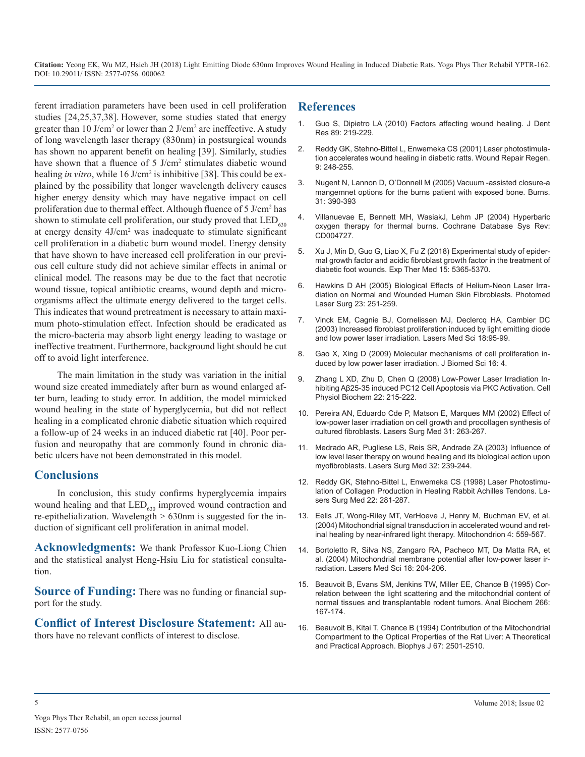ferent irradiation parameters have been used in cell proliferation studies [24,25,37,38]. However, some studies stated that energy greater than  $10 \text{ J/cm}^2$  or lower than  $2 \text{ J/cm}^2$  are ineffective. A study of long wavelength laser therapy (830nm) in postsurgical wounds has shown no apparent benefit on healing [39]. Similarly, studies have shown that a fluence of 5 J/cm<sup>2</sup> stimulates diabetic wound healing *in vitro*, while 16 J/cm<sup>2</sup> is inhibitive [38]. This could be explained by the possibility that longer wavelength delivery causes higher energy density which may have negative impact on cell proliferation due to thermal effect. Although fluence of 5 J/cm<sup>2</sup> has shown to stimulate cell proliferation, our study proved that  $LED_{630}$ at energy density  $4J/cm^2$  was inadequate to stimulate significant cell proliferation in a diabetic burn wound model. Energy density [that have shown to have increased cell proliferation in our previ](https://www.ncbi.nlm.nih.gov/pubmed/29904416)ous cell culture study did not achieve similar effects in animal or clinical model. The reasons may be due to the fact that necrotic wound tissue, topical antibiotic creams, wound depth and microorganisms affect the ultimate energy delivered to the target cells. This indicates that wound pretreatment is necessary to attain maxi[mum photo-stimulation effect. Infection should be eradicated as](https://www.ncbi.nlm.nih.gov/pubmed/12928819)  the micro-bacteria may absorb light energy leading to wastage or ineffective treatment. Furthermore, background light should be cut off to avoid light interference.

The main limitation in the study was variation in the initial [wound size created immediately after burn as wound enlarged af](https://www.karger.com/Article/Abstract/149799)ter burn, leading to study error. In addition, the model mimicked wound healing in the state of hyperglycemia, but did not reflect [healing in a complicated chronic diabetic situation which required](https://www.ncbi.nlm.nih.gov/pubmed/12355572)  a follow-up of 24 weeks in an induced diabetic rat [40]. Poor perfusion and neuropathy that are commonly found in chronic dia[betic ulcers have not been demonstrated in this model.](https://www.ncbi.nlm.nih.gov/pubmed/12605432) 

#### **Conclusions**

In conclusion, this study confirms hyperglycemia impairs wound healing and that  $LED_{630}$  improved wound contraction and re-epithelialization. Wavelength > 630nm is suggested for the induction of significant cell proliferation in animal model.

**Acknowledgments:** We thank Professor Kuo-Liong Chien [and the statistical analyst Heng-Hsiu Liu for statistical consulta](https://www.researchgate.net/publication/8659232_Mitochondrial_membrane_potential_after_low-power_laser_irradiation)tion.

**Source of Funding:** There was no funding or financial support for the study.

**Conflict of Interest Disclosure Statement:** All au[thors have no relevant conflicts of interest to disclose.](https://www.ncbi.nlm.nih.gov/pubmed/7696489)

#### **References**

- 1. [Guo S, Dipietro LA \(2010\) Factors affecting wound healing. J Dent](https://www.ncbi.nlm.nih.gov/pubmed/20139336)  Res 89: 219-229.
- 2. [Reddy GK, Stehno-Bittel L, Enwemeka CS \(2001\) Laser photostimula](https://www.ncbi.nlm.nih.gov/pubmed/11472621)[tion accelerates wound healing in diabetic ratts. Wound Repair Regen.](https://www.ncbi.nlm.nih.gov/pubmed/11472621)  [9: 248-255](https://www.ncbi.nlm.nih.gov/pubmed/11472621).
- 3. Nugent N, Lannon D, O'Donnell M (2005) Vacuum -assisted closure-a mangemnet options for the burns patient with exposed bone. Burns. 31: 390-393
- 4. [Villanuevae E, Bennett MH, WasiakJ, Lehm JP \(2004\) Hyperbaric](https://www.ncbi.nlm.nih.gov/pubmed/15266540)  [oxygen therapy for thermal burns. Cochrane Database Sys Rev:](https://www.ncbi.nlm.nih.gov/pubmed/15266540) [CD004727](https://www.ncbi.nlm.nih.gov/pubmed/15266540).
- 5. [Xu J, Min D, Guo G, Liao X, Fu Z \(2018\) Experimental study of epider](https://www.ncbi.nlm.nih.gov/pubmed/29904416)mal growth factor and acidic fibroblast growth factor in the treatment of [diabetic foot wounds. Exp Ther Med 15: 5365-5370](https://www.ncbi.nlm.nih.gov/pubmed/29904416).
- 6. [Hawkins D AH \(2005\) Biological Effects of Helium-Neon Laser Irra](https://www.ncbi.nlm.nih.gov/pubmed/15954811)[diation on Normal and Wounded Human Skin Fibroblasts. Photomed](https://www.ncbi.nlm.nih.gov/pubmed/15954811) [Laser Surg 23: 251-259](https://www.ncbi.nlm.nih.gov/pubmed/15954811).
- 7. [Vinck EM, Cagnie BJ, Cornelissen MJ, Declercq HA, Cambier DC](https://www.ncbi.nlm.nih.gov/pubmed/12928819)  (2003) Increased fibroblast proliferation induced by light emitting diode [and low power laser irradiation. Lasers Med Sci 18:95-99.](https://www.ncbi.nlm.nih.gov/pubmed/12928819)
- 8. [Gao X, Xing D \(2009\) Molecular mechanisms of cell proliferation in](https://www.ncbi.nlm.nih.gov/pmc/articles/PMC2644974/)[duced by low power laser irradiation. J Biomed Sci 16: 4.](https://www.ncbi.nlm.nih.gov/pmc/articles/PMC2644974/)
- 9. [Zhang L XD, Zhu D, Chen Q \(2008\) Low-Power Laser Irradiation In](https://www.karger.com/Article/Abstract/149799)hibiting Aβ25-35 induced PC12 Cell Apoptosis via PKC Activation. Cell [Physiol Biochem 22: 215-222](https://www.karger.com/Article/Abstract/149799).
- 10. [Pereira AN, Eduardo Cde P, Matson E, Marques MM \(2002\) Effect of](https://www.ncbi.nlm.nih.gov/pubmed/12355572)  low-power laser irradiation on cell growth and procollagen synthesis of cultured [fibroblasts.](https://www.ncbi.nlm.nih.gov/pubmed/12355572) Lasers Surg Med 31: 263-267.
- 11. Medrado AR, Pugliese LS, Reis SR, Andrade ZA (2003) [Influence](https://www.ncbi.nlm.nih.gov/pubmed/12605432) of low level laser therapy on wound healing and its biological action upon [myofibroblasts.](https://www.ncbi.nlm.nih.gov/pubmed/12605432) Lasers Surg Med 32: 239-244.
- 12. [Reddy GK, Stehno-Bittel L, Enwemeka CS \(1998\) Laser Photostimu](https://www.ncbi.nlm.nih.gov/pubmed/9671994)[lation of Collagen Production in Healing Rabbit Achilles Tendons. La](https://www.ncbi.nlm.nih.gov/pubmed/9671994)[sers Surg Med 22: 281-287.](https://www.ncbi.nlm.nih.gov/pubmed/9671994)
- 13. [Eells JT, Wong-Riley MT, VerHoeve J, Henry M, Buchman EV, et al.](https://www.ncbi.nlm.nih.gov/pubmed/16120414) [\(2004\) Mitochondrial signal transduction in accelerated wound and ret](https://www.ncbi.nlm.nih.gov/pubmed/16120414)[inal healing by near-infrared light therapy. Mitochondrion 4: 559-567.](https://www.ncbi.nlm.nih.gov/pubmed/16120414)
- 14. [Bortoletto R, Silva NS, Zangaro RA, Pacheco MT, Da Matta RA, et](https://www.researchgate.net/publication/8659232_Mitochondrial_membrane_potential_after_low-power_laser_irradiation)  al. (2004) Mitochondrial membrane potential after low-power laser ir[radiation. Lasers Med Sci 18: 204-206](https://www.researchgate.net/publication/8659232_Mitochondrial_membrane_potential_after_low-power_laser_irradiation).
- 15. [Beauvoit B, Evans SM, Jenkins TW, Miller EE, Chance B \(1995\) Cor](https://www.ncbi.nlm.nih.gov/pubmed/7785769)[relation between the light scattering and the mitochondrial content of](https://www.ncbi.nlm.nih.gov/pubmed/7785769) [normal tissues and transplantable rodent tumors. Anal Biochem 266:](https://www.ncbi.nlm.nih.gov/pubmed/7785769)  [167-174](https://www.ncbi.nlm.nih.gov/pubmed/7785769).
- 16. [Beauvoit B, Kitai T, Chance B \(1994\) Contribution of the Mitochondrial](https://www.ncbi.nlm.nih.gov/pubmed/7696489)  Compartment to the Optical Properties of the Rat Liver: A Theoretical [and Practical Approach. Biophys J 67: 2501-2510](https://www.ncbi.nlm.nih.gov/pubmed/7696489).